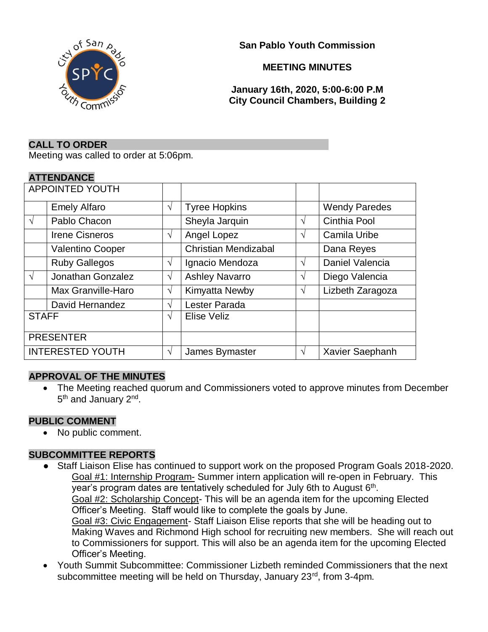

**San Pablo Youth Commission**

# **MEETING MINUTES**

**January 16th, 2020, 5:00-6:00 P.M City Council Chambers, Building 2**

#### **CALL TO ORDER**

Meeting was called to order at 5:06pm.

### **ATTENDANCE**

| <b>APPOINTED YOUTH</b>  |                       |            |                             |   |                      |
|-------------------------|-----------------------|------------|-----------------------------|---|----------------------|
|                         | <b>Emely Alfaro</b>   | $\sqrt{}$  | <b>Tyree Hopkins</b>        |   | <b>Wendy Paredes</b> |
| $\sqrt{ }$              | Pablo Chacon          |            | Sheyla Jarquin              | V | Cinthia Pool         |
|                         | <b>Irene Cisneros</b> | V          | Angel Lopez                 | V | Camila Uribe         |
|                         | Valentino Cooper      |            | <b>Christian Mendizabal</b> |   | Dana Reyes           |
|                         | <b>Ruby Gallegos</b>  | V          | Ignacio Mendoza             | V | Daniel Valencia      |
| $\sqrt{ }$              | Jonathan Gonzalez     | $\sqrt{ }$ | <b>Ashley Navarro</b>       | V | Diego Valencia       |
|                         | Max Granville-Haro    | $\sqrt{ }$ | Kimyatta Newby              | V | Lizbeth Zaragoza     |
|                         | David Hernandez       | V          | Lester Parada               |   |                      |
| <b>STAFF</b>            |                       | V          | Elise Veliz                 |   |                      |
| <b>PRESENTER</b>        |                       |            |                             |   |                      |
| <b>INTERESTED YOUTH</b> |                       | V          | James Bymaster              | V | Xavier Saephanh      |

## **APPROVAL OF THE MINUTES**

• The Meeting reached quorum and Commissioners voted to approve minutes from December 5<sup>th</sup> and January 2<sup>nd</sup>.

#### **PUBLIC COMMENT**

• No public comment.

## **SUBCOMMITTEE REPORTS**

- Staff Liaison Elise has continued to support work on the proposed Program Goals 2018-2020. Goal #1: Internship Program- Summer intern application will re-open in February. This year's program dates are tentatively scheduled for July 6th to August 6<sup>th</sup>. Goal #2: Scholarship Concept- This will be an agenda item for the upcoming Elected Officer's Meeting. Staff would like to complete the goals by June. Goal #3: Civic Engagement- Staff Liaison Elise reports that she will be heading out to Making Waves and Richmond High school for recruiting new members. She will reach out to Commissioners for support. This will also be an agenda item for the upcoming Elected Officer's Meeting.
- Youth Summit Subcommittee: Commissioner Lizbeth reminded Commissioners that the next subcommittee meeting will be held on Thursday, January 23<sup>rd</sup>, from 3-4pm.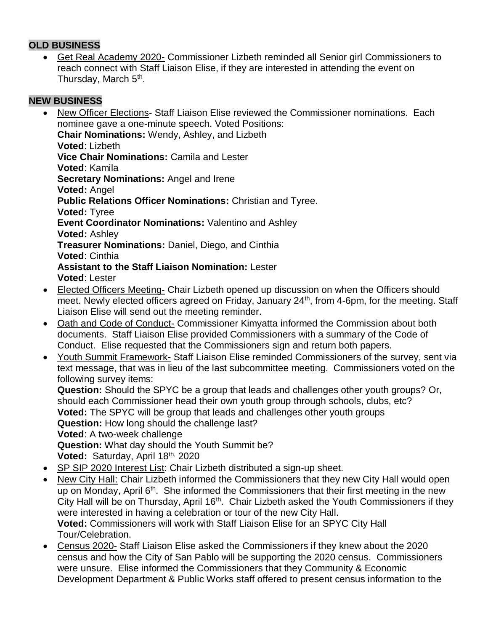## **OLD BUSINESS**

• Get Real Academy 2020- Commissioner Lizbeth reminded all Senior girl Commissioners to reach connect with Staff Liaison Elise, if they are interested in attending the event on Thursday, March 5<sup>th</sup>.

# **NEW BUSINESS**

- New Officer Elections- Staff Liaison Elise reviewed the Commissioner nominations. Each nominee gave a one-minute speech. Voted Positions: **Chair Nominations:** Wendy, Ashley, and Lizbeth **Voted**: Lizbeth **Vice Chair Nominations:** Camila and Lester **Voted**: Kamila **Secretary Nominations:** Angel and Irene **Voted:** Angel **Public Relations Officer Nominations:** Christian and Tyree. **Voted:** Tyree **Event Coordinator Nominations:** Valentino and Ashley **Voted:** Ashley **Treasurer Nominations:** Daniel, Diego, and Cinthia **Voted**: Cinthia **Assistant to the Staff Liaison Nomination:** Lester **Voted**: Lester
- Elected Officers Meeting- Chair Lizbeth opened up discussion on when the Officers should meet. Newly elected officers agreed on Friday, January 24<sup>th</sup>, from 4-6pm, for the meeting. Staff Liaison Elise will send out the meeting reminder.
- Oath and Code of Conduct- Commissioner Kimyatta informed the Commission about both documents. Staff Liaison Elise provided Commissioners with a summary of the Code of Conduct. Elise requested that the Commissioners sign and return both papers.
- Youth Summit Framework- Staff Liaison Elise reminded Commissioners of the survey, sent via text message, that was in lieu of the last subcommittee meeting. Commissioners voted on the following survey items:

**Question:** Should the SPYC be a group that leads and challenges other youth groups? Or, should each Commissioner head their own youth group through schools, clubs, etc? **Voted:** The SPYC will be group that leads and challenges other youth groups **Question:** How long should the challenge last? **Voted**: A two-week challenge **Question:** What day should the Youth Summit be? Voted: Saturday, April 18<sup>th,</sup> 2020

- SP SIP 2020 Interest List: Chair Lizbeth distributed a sign-up sheet.
- New City Hall: Chair Lizbeth informed the Commissioners that they new City Hall would open up on Monday, April  $6<sup>th</sup>$ . She informed the Commissioners that their first meeting in the new City Hall will be on Thursday, April 16<sup>th</sup>. Chair Lizbeth asked the Youth Commissioners if they were interested in having a celebration or tour of the new City Hall. **Voted:** Commissioners will work with Staff Liaison Elise for an SPYC City Hall Tour/Celebration.
- Census 2020- Staff Liaison Elise asked the Commissioners if they knew about the 2020 census and how the City of San Pablo will be supporting the 2020 census. Commissioners were unsure. Elise informed the Commissioners that they Community & Economic Development Department & Public Works staff offered to present census information to the